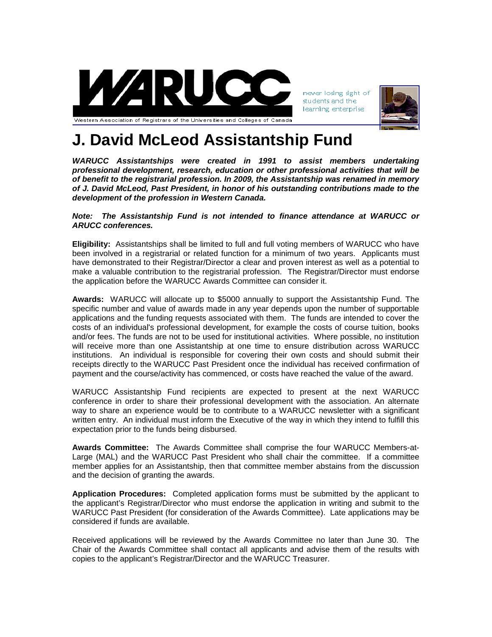

never losing sight of students and the learning enterprise



## **J. David McLeod Assistantship Fund**

*WARUCC Assistantships were created in 1991 to assist members undertaking professional development, research, education or other professional activities that will be of benefit to the registrarial profession. In 2009, the Assistantship was renamed in memory of J. David McLeod, Past President, in honor of his outstanding contributions made to the development of the profession in Western Canada.*

## *Note: The Assistantship Fund is not intended to finance attendance at WARUCC or ARUCC conferences.*

**Eligibility:** Assistantships shall be limited to full and full voting members of WARUCC who have been involved in a registrarial or related function for a minimum of two years. Applicants must have demonstrated to their Registrar/Director a clear and proven interest as well as a potential to make a valuable contribution to the registrarial profession. The Registrar/Director must endorse the application before the WARUCC Awards Committee can consider it.

**Awards:** WARUCC will allocate up to \$5000 annually to support the Assistantship Fund. The specific number and value of awards made in any year depends upon the number of supportable applications and the funding requests associated with them. The funds are intended to cover the costs of an individual's professional development, for example the costs of course tuition, books and/or fees. The funds are not to be used for institutional activities. Where possible, no institution will receive more than one Assistantship at one time to ensure distribution across WARUCC institutions. An individual is responsible for covering their own costs and should submit their receipts directly to the WARUCC Past President once the individual has received confirmation of payment and the course/activity has commenced, or costs have reached the value of the award.

WARUCC Assistantship Fund recipients are expected to present at the next WARUCC conference in order to share their professional development with the association. An alternate way to share an experience would be to contribute to a WARUCC newsletter with a significant written entry. An individual must inform the Executive of the way in which they intend to fulfill this expectation prior to the funds being disbursed.

**Awards Committee:** The Awards Committee shall comprise the four WARUCC Members-at-Large (MAL) and the WARUCC Past President who shall chair the committee. If a committee member applies for an Assistantship, then that committee member abstains from the discussion and the decision of granting the awards.

**Application Procedures:** Completed application forms must be submitted by the applicant to the applicant's Registrar/Director who must endorse the application in writing and submit to the WARUCC Past President (for consideration of the Awards Committee). Late applications may be considered if funds are available.

Received applications will be reviewed by the Awards Committee no later than June 30. The Chair of the Awards Committee shall contact all applicants and advise them of the results with copies to the applicant's Registrar/Director and the WARUCC Treasurer.